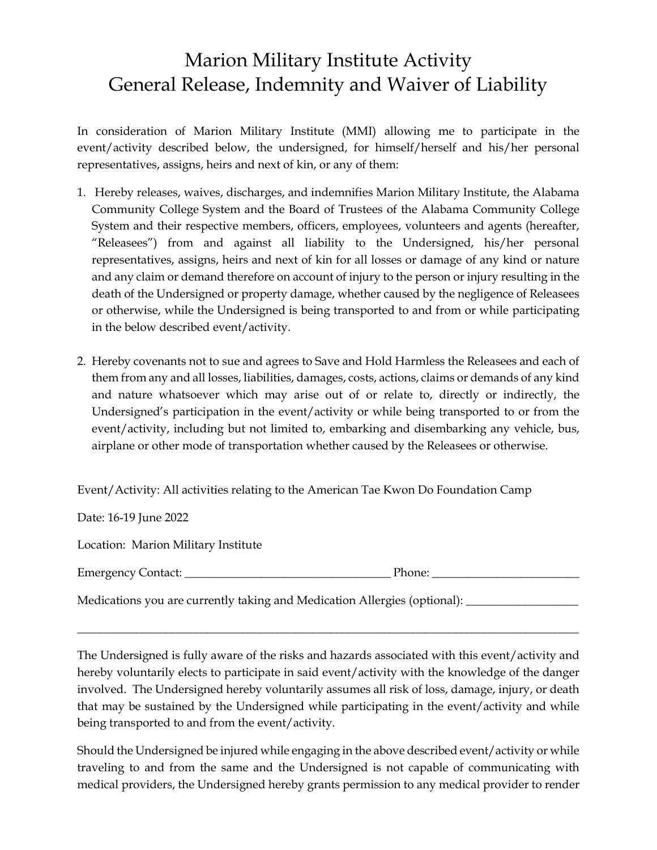## Marion Military Institute Activity General Release, Indemnity and Waiver of Liability

In consideration of Marion Military Institute (MMI) allowing me to participate in the event/activity described below, the undersigned, for himself/herself and his/her personal representatives, assigns, heirs and next of kin, or any of them:

- 1. Hereby releases, waives, discharges, and indemnifies Marion Military Institute, the Alabama Community College System and the Board of Trustees of the Alabama Community College System and their respective members, officers, employees, volunteers and agents (hereafter, "Releasees") from and against all liability to the Undersigned, his/her personal representatives, assigns, heirs and next of kin for all losses or damage of any kind or nature and any claim or demand therefore on account of injury to the person or injury resulting in the death of the Undersigned or property damage, whether caused by the negligence of Releasees or otherwise, while the Undersigned is being transported to and from or while participating in the below described event/activity.
- 2. Hereby covenants not to sue and agrees to Save and Hold Harmless the Releasees and each of them from any and all losses, liabilities, damages, costs, actions, claims or demands of any kind and nature whatsoever which may arise out of or relate to, directly or indirectly, the Undersigned's participation in the event/activity or while being transported to or from the event/activity, including but not limited to, embarking and disembarking any vehicle, bus, airplane or other mode of transportation whether caused by the Releasees or otherwise.

Event/Activity: All activities relating to the American Tae Kwon Do Foundation Camp

Date: 16-19 June 2022

Location: Marion Military Institute

| $\overline{ }$<br>Emergency<br>ontact:<br>. | --<br>,,,<br>none<br>______ |  |
|---------------------------------------------|-----------------------------|--|
|                                             |                             |  |

\_\_\_\_\_\_\_\_\_\_\_\_\_\_\_\_\_\_\_\_\_\_\_\_\_\_\_\_\_\_\_\_\_\_\_\_\_\_\_\_\_\_\_\_\_\_\_\_\_\_\_\_\_\_\_\_\_\_\_\_\_\_\_\_\_\_\_\_\_\_\_\_\_\_\_\_\_\_\_\_\_\_\_\_\_

Medications you are currently taking and Medication Allergies (optional): \_\_\_\_\_\_\_\_\_\_\_\_

The Undersigned is fully aware of the risks and hazards associated with this event/activity and hereby voluntarily elects to participate in said event/activity with the knowledge of the danger involved. The Undersigned hereby voluntarily assumes all risk of loss, damage, injury, or death that may be sustained by the Undersigned while participating in the event/activity and while being transported to and from the event/activity.

Should the Undersigned be injured while engaging in the above described event/activity or while traveling to and from the same and the Undersigned is not capable of communicating with medical providers, the Undersigned hereby grants permission to any medical provider to render